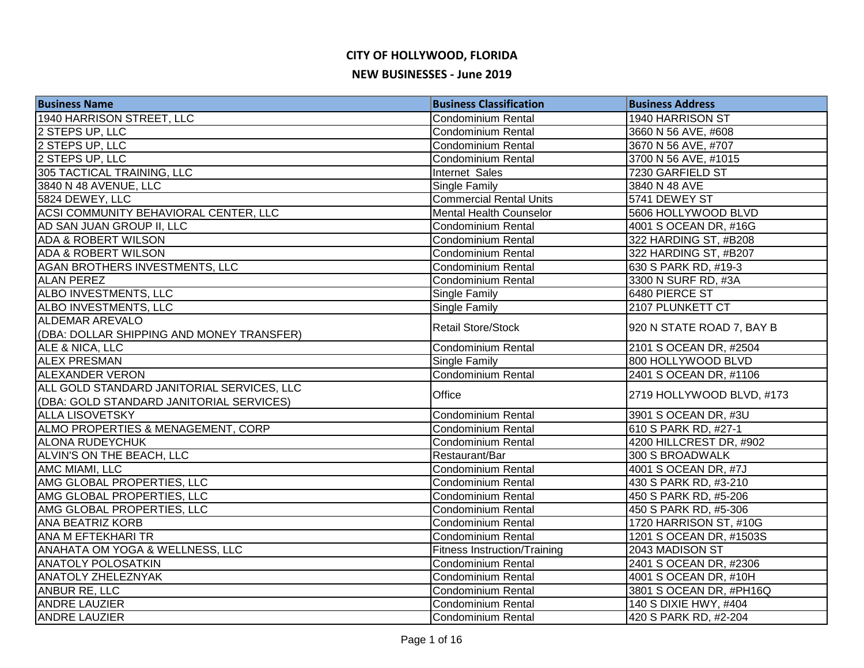| <b>Business Name</b>                       | <b>Business Classification</b>      | <b>Business Address</b>   |
|--------------------------------------------|-------------------------------------|---------------------------|
| 1940 HARRISON STREET, LLC                  | <b>Condominium Rental</b>           | 1940 HARRISON ST          |
| 2 STEPS UP, LLC                            | Condominium Rental                  | 3660 N 56 AVE, #608       |
| 2 STEPS UP, LLC                            | <b>Condominium Rental</b>           | 3670 N 56 AVE, #707       |
| 2 STEPS UP, LLC                            | <b>Condominium Rental</b>           | 3700 N 56 AVE, #1015      |
| 305 TACTICAL TRAINING, LLC                 | Internet Sales                      | 7230 GARFIELD ST          |
| 3840 N 48 AVENUE, LLC                      | <b>Single Family</b>                | 3840 N 48 AVE             |
| 5824 DEWEY, LLC                            | <b>Commercial Rental Units</b>      | 5741 DEWEY ST             |
| ACSI COMMUNITY BEHAVIORAL CENTER, LLC      | Mental Health Counselor             | 5606 HOLLYWOOD BLVD       |
| AD SAN JUAN GROUP II, LLC                  | <b>Condominium Rental</b>           | 4001 S OCEAN DR, #16G     |
| <b>ADA &amp; ROBERT WILSON</b>             | <b>Condominium Rental</b>           | 322 HARDING ST, #B208     |
| <b>ADA &amp; ROBERT WILSON</b>             | Condominium Rental                  | 322 HARDING ST, #B207     |
| AGAN BROTHERS INVESTMENTS, LLC             | Condominium Rental                  | 630 S PARK RD, #19-3      |
| <b>ALAN PEREZ</b>                          | <b>Condominium Rental</b>           | 3300 N SURF RD, #3A       |
| ALBO INVESTMENTS, LLC                      | Single Family                       | 6480 PIERCE ST            |
| ALBO INVESTMENTS, LLC                      | Single Family                       | 2107 PLUNKETT CT          |
| <b>ALDEMAR AREVALO</b>                     | <b>Retail Store/Stock</b>           |                           |
| (DBA: DOLLAR SHIPPING AND MONEY TRANSFER)  |                                     | 920 N STATE ROAD 7, BAY B |
| ALE & NICA, LLC                            | Condominium Rental                  | 2101 S OCEAN DR, #2504    |
| <b>ALEX PRESMAN</b>                        | Single Family                       | 800 HOLLYWOOD BLVD        |
| <b>ALEXANDER VERON</b>                     | Condominium Rental                  | 2401 S OCEAN DR, #1106    |
| ALL GOLD STANDARD JANITORIAL SERVICES, LLC | Office                              | 2719 HOLLYWOOD BLVD, #173 |
| (DBA: GOLD STANDARD JANITORIAL SERVICES)   |                                     |                           |
| <b>ALLA LISOVETSKY</b>                     | <b>Condominium Rental</b>           | 3901 S OCEAN DR, #3U      |
| ALMO PROPERTIES & MENAGEMENT, CORP         | <b>Condominium Rental</b>           | 610 S PARK RD, #27-1      |
| <b>ALONA RUDEYCHUK</b>                     | <b>Condominium Rental</b>           | 4200 HILLCREST DR, #902   |
| ALVIN'S ON THE BEACH, LLC                  | Restaurant/Bar                      | 300 S BROADWALK           |
| AMC MIAMI, LLC                             | Condominium Rental                  | 4001 S OCEAN DR, #7J      |
| AMG GLOBAL PROPERTIES, LLC                 | <b>Condominium Rental</b>           | 430 S PARK RD, #3-210     |
| AMG GLOBAL PROPERTIES, LLC                 | <b>Condominium Rental</b>           | 450 S PARK RD, #5-206     |
| AMG GLOBAL PROPERTIES, LLC                 | Condominium Rental                  | 450 S PARK RD, #5-306     |
| <b>ANA BEATRIZ KORB</b>                    | <b>Condominium Rental</b>           | 1720 HARRISON ST, #10G    |
| ANA M EFTEKHARI TR                         | <b>Condominium Rental</b>           | 1201 S OCEAN DR, #1503S   |
| <b>ANAHATA OM YOGA &amp; WELLNESS, LLC</b> | <b>Fitness Instruction/Training</b> | 2043 MADISON ST           |
| <b>ANATOLY POLOSATKIN</b>                  | <b>Condominium Rental</b>           | 2401 S OCEAN DR, #2306    |
| <b>ANATOLY ZHELEZNYAK</b>                  | <b>Condominium Rental</b>           | 4001 S OCEAN DR, #10H     |
| ANBUR RE, LLC                              | <b>Condominium Rental</b>           | 3801 S OCEAN DR, #PH16Q   |
| <b>ANDRE LAUZIER</b>                       | <b>Condominium Rental</b>           | 140 S DIXIE HWY, #404     |
| <b>ANDRE LAUZIER</b>                       | <b>Condominium Rental</b>           | 420 S PARK RD, #2-204     |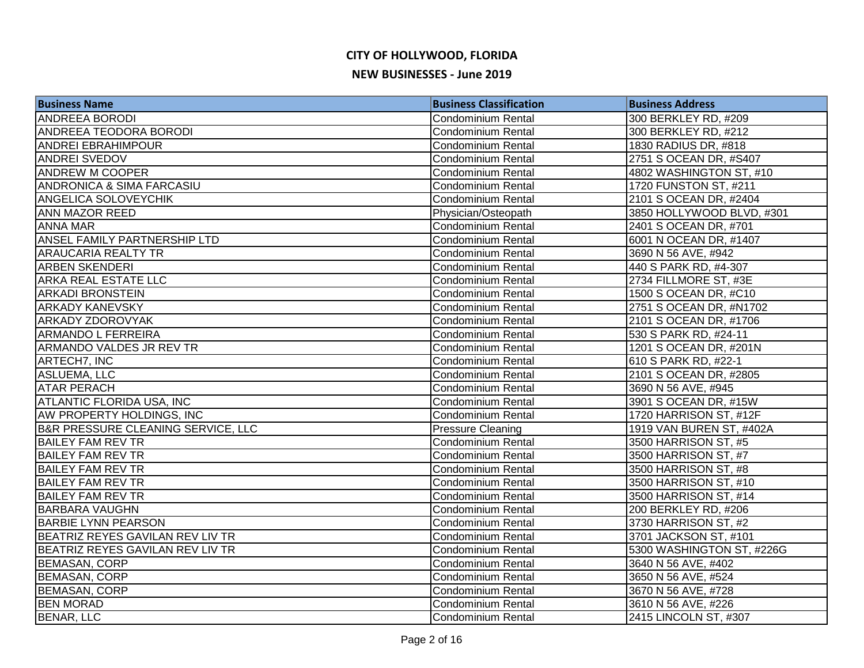| <b>Business Name</b>                 | <b>Business Classification</b> | <b>Business Address</b>   |
|--------------------------------------|--------------------------------|---------------------------|
| <b>ANDREEA BORODI</b>                | Condominium Rental             | 300 BERKLEY RD, #209      |
| <b>ANDREEA TEODORA BORODI</b>        | Condominium Rental             | 300 BERKLEY RD, #212      |
| <b>ANDREI EBRAHIMPOUR</b>            | <b>Condominium Rental</b>      | 1830 RADIUS DR, #818      |
| <b>ANDREI SVEDOV</b>                 | <b>Condominium Rental</b>      | 2751 S OCEAN DR, #S407    |
| <b>ANDREW M COOPER</b>               | <b>Condominium Rental</b>      | 4802 WASHINGTON ST, #10   |
| <b>ANDRONICA &amp; SIMA FARCASIU</b> | Condominium Rental             | 1720 FUNSTON ST, #211     |
| <b>ANGELICA SOLOVEYCHIK</b>          | <b>Condominium Rental</b>      | 2101 S OCEAN DR, #2404    |
| <b>ANN MAZOR REED</b>                | Physician/Osteopath            | 3850 HOLLYWOOD BLVD, #301 |
| <b>ANNA MAR</b>                      | <b>Condominium Rental</b>      | 2401 S OCEAN DR, #701     |
| <b>ANSEL FAMILY PARTNERSHIP LTD</b>  | <b>Condominium Rental</b>      | 6001 N OCEAN DR, #1407    |
| <b>ARAUCARIA REALTY TR</b>           | <b>Condominium Rental</b>      | 3690 N 56 AVE, #942       |
| <b>ARBEN SKENDERI</b>                | Condominium Rental             | 440 S PARK RD, #4-307     |
| <b>ARKA REAL ESTATE LLC</b>          | <b>Condominium Rental</b>      | 2734 FILLMORE ST, #3E     |
| <b>ARKADI BRONSTEIN</b>              | <b>Condominium Rental</b>      | 1500 S OCEAN DR, #C10     |
| <b>ARKADY KANEVSKY</b>               | <b>Condominium Rental</b>      | 2751 S OCEAN DR, #N1702   |
| <b>ARKADY ZDOROVYAK</b>              | <b>Condominium Rental</b>      | 2101 S OCEAN DR, #1706    |
| <b>ARMANDO L FERREIRA</b>            | <b>Condominium Rental</b>      | 530 S PARK RD, #24-11     |
| ARMANDO VALDES JR REV TR             | Condominium Rental             | 1201 S OCEAN DR, #201N    |
| ARTECH7, INC                         | <b>Condominium Rental</b>      | 610 S PARK RD, #22-1      |
| ASLUEMA, LLC                         | Condominium Rental             | 2101 S OCEAN DR, #2805    |
| <b>ATAR PERACH</b>                   | <b>Condominium Rental</b>      | 3690 N 56 AVE, #945       |
| <b>ATLANTIC FLORIDA USA, INC</b>     | <b>Condominium Rental</b>      | 3901 S OCEAN DR, #15W     |
| AW PROPERTY HOLDINGS, INC            | <b>Condominium Rental</b>      | 1720 HARRISON ST, #12F    |
| B&R PRESSURE CLEANING SERVICE, LLC   | <b>Pressure Cleaning</b>       | 1919 VAN BUREN ST, #402A  |
| <b>BAILEY FAM REV TR</b>             | <b>Condominium Rental</b>      | 3500 HARRISON ST, #5      |
| <b>BAILEY FAM REV TR</b>             | Condominium Rental             | 3500 HARRISON ST, #7      |
| <b>BAILEY FAM REV TR</b>             | Condominium Rental             | 3500 HARRISON ST, #8      |
| <b>BAILEY FAM REV TR</b>             | <b>Condominium Rental</b>      | 3500 HARRISON ST, #10     |
| <b>BAILEY FAM REV TR</b>             | <b>Condominium Rental</b>      | 3500 HARRISON ST, #14     |
| <b>BARBARA VAUGHN</b>                | <b>Condominium Rental</b>      | 200 BERKLEY RD, #206      |
| <b>BARBIE LYNN PEARSON</b>           | <b>Condominium Rental</b>      | 3730 HARRISON ST, #2      |
| BEATRIZ REYES GAVILAN REV LIV TR     | <b>Condominium Rental</b>      | 3701 JACKSON ST, #101     |
| BEATRIZ REYES GAVILAN REV LIV TR     | <b>Condominium Rental</b>      | 5300 WASHINGTON ST, #226G |
| <b>BEMASAN, CORP</b>                 | <b>Condominium Rental</b>      | 3640 N 56 AVE, #402       |
| <b>BEMASAN, CORP</b>                 | <b>Condominium Rental</b>      | 3650 N 56 AVE, #524       |
| <b>BEMASAN, CORP</b>                 | <b>Condominium Rental</b>      | 3670 N 56 AVE, #728       |
| <b>BEN MORAD</b>                     | Condominium Rental             | 3610 N 56 AVE, #226       |
| <b>BENAR, LLC</b>                    | <b>Condominium Rental</b>      | 2415 LINCOLN ST, #307     |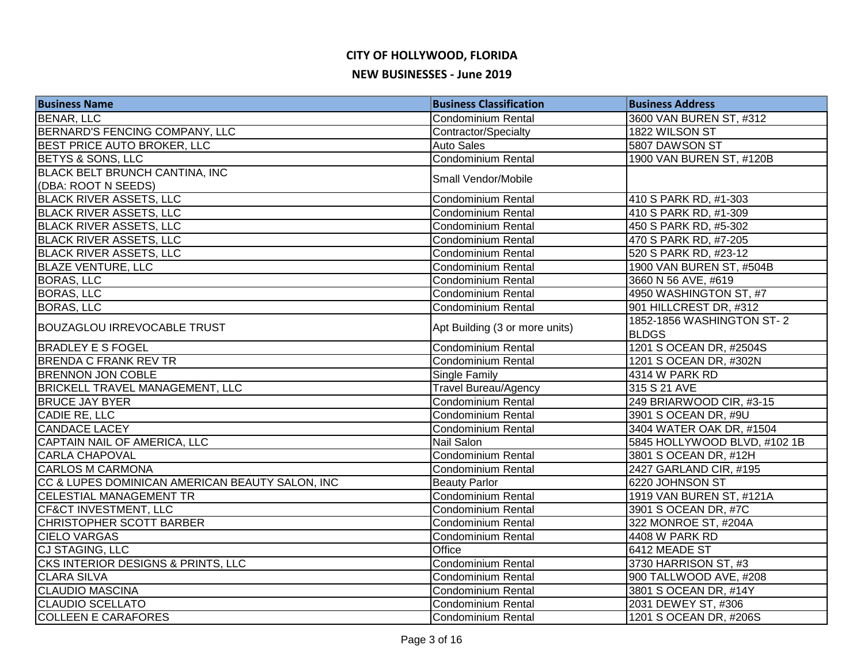| <b>Business Name</b>                            | <b>Business Classification</b> | <b>Business Address</b>      |
|-------------------------------------------------|--------------------------------|------------------------------|
| <b>BENAR, LLC</b>                               | <b>Condominium Rental</b>      | 3600 VAN BUREN ST, #312      |
| BERNARD'S FENCING COMPANY, LLC                  | Contractor/Specialty           | 1822 WILSON ST               |
| <b>BEST PRICE AUTO BROKER, LLC</b>              | <b>Auto Sales</b>              | 5807 DAWSON ST               |
| <b>BETYS &amp; SONS, LLC</b>                    | <b>Condominium Rental</b>      | 1900 VAN BUREN ST, #120B     |
| BLACK BELT BRUNCH CANTINA, INC                  | Small Vendor/Mobile            |                              |
| (DBA: ROOT N SEEDS)                             |                                |                              |
| <b>BLACK RIVER ASSETS, LLC</b>                  | Condominium Rental             | 410 S PARK RD, #1-303        |
| <b>BLACK RIVER ASSETS, LLC</b>                  | <b>Condominium Rental</b>      | 410 S PARK RD, #1-309        |
| <b>BLACK RIVER ASSETS, LLC</b>                  | Condominium Rental             | 450 S PARK RD, #5-302        |
| <b>BLACK RIVER ASSETS, LLC</b>                  | Condominium Rental             | 470 S PARK RD, #7-205        |
| <b>BLACK RIVER ASSETS, LLC</b>                  | <b>Condominium Rental</b>      | 520 S PARK RD, #23-12        |
| <b>BLAZE VENTURE, LLC</b>                       | <b>Condominium Rental</b>      | 1900 VAN BUREN ST, #504B     |
| <b>BORAS, LLC</b>                               | <b>Condominium Rental</b>      | 3660 N 56 AVE, #619          |
| <b>BORAS, LLC</b>                               | <b>Condominium Rental</b>      | 4950 WASHINGTON ST, #7       |
| <b>BORAS, LLC</b>                               | <b>Condominium Rental</b>      | 901 HILLCREST DR, #312       |
| <b>BOUZAGLOU IRREVOCABLE TRUST</b>              |                                | 1852-1856 WASHINGTON ST-2    |
|                                                 | Apt Building (3 or more units) | <b>BLDGS</b>                 |
| <b>BRADLEY E S FOGEL</b>                        | Condominium Rental             | 1201 S OCEAN DR, #2504S      |
| <b>BRENDA C FRANK REV TR</b>                    | <b>Condominium Rental</b>      | 1201 S OCEAN DR, #302N       |
| <b>BRENNON JON COBLE</b>                        | <b>Single Family</b>           | 4314 W PARK RD               |
| <b>BRICKELL TRAVEL MANAGEMENT, LLC</b>          | <b>Travel Bureau/Agency</b>    | 315 S 21 AVE                 |
| <b>BRUCE JAY BYER</b>                           | Condominium Rental             | 249 BRIARWOOD CIR, #3-15     |
| CADIE RE, LLC                                   | <b>Condominium Rental</b>      | 3901 S OCEAN DR, #9U         |
| <b>CANDACE LACEY</b>                            | <b>Condominium Rental</b>      | 3404 WATER OAK DR, #1504     |
| CAPTAIN NAIL OF AMERICA, LLC                    | Nail Salon                     | 5845 HOLLYWOOD BLVD, #102 1B |
| <b>CARLA CHAPOVAL</b>                           | <b>Condominium Rental</b>      | 3801 S OCEAN DR, #12H        |
| <b>CARLOS M CARMONA</b>                         | Condominium Rental             | 2427 GARLAND CIR, #195       |
| CC & LUPES DOMINICAN AMERICAN BEAUTY SALON, INC | <b>Beauty Parlor</b>           | 6220 JOHNSON ST              |
| <b>CELESTIAL MANAGEMENT TR</b>                  | Condominium Rental             | 1919 VAN BUREN ST, #121A     |
| <b>CF&amp;CT INVESTMENT, LLC</b>                | Condominium Rental             | 3901 S OCEAN DR, #7C         |
| CHRISTOPHER SCOTT BARBER                        | <b>Condominium Rental</b>      | 322 MONROE ST, #204A         |
| <b>CIELO VARGAS</b>                             | <b>Condominium Rental</b>      | 4408 W PARK RD               |
| CJ STAGING, LLC                                 | Office                         | 6412 MEADE ST                |
| CKS INTERIOR DESIGNS & PRINTS, LLC              | Condominium Rental             | 3730 HARRISON ST, #3         |
| <b>CLARA SILVA</b>                              | <b>Condominium Rental</b>      | 900 TALLWOOD AVE, #208       |
| <b>CLAUDIO MASCINA</b>                          | <b>Condominium Rental</b>      | 3801 S OCEAN DR, #14Y        |
| <b>CLAUDIO SCELLATO</b>                         | <b>Condominium Rental</b>      | 2031 DEWEY ST, #306          |
| <b>COLLEEN E CARAFORES</b>                      | Condominium Rental             | 1201 S OCEAN DR, #206S       |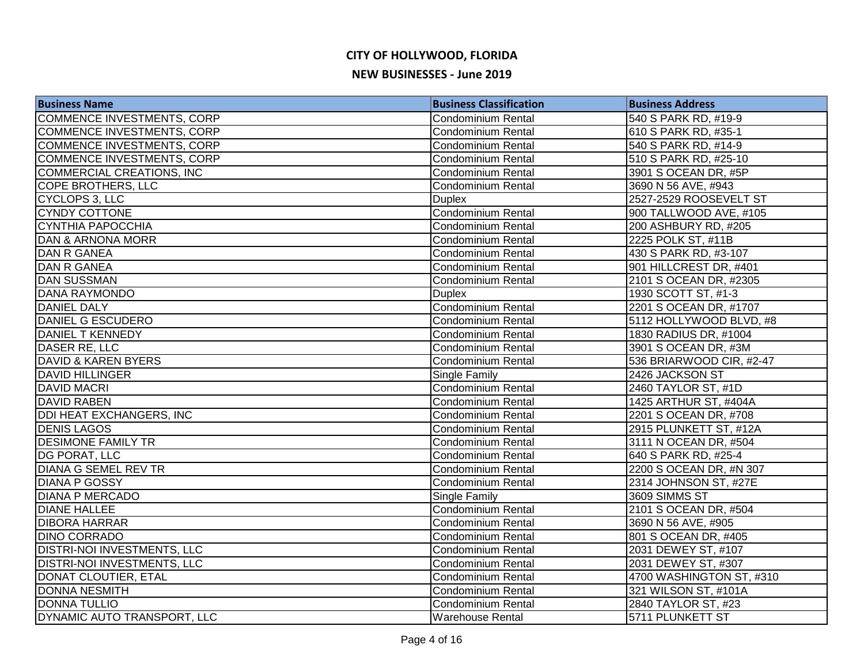| <b>Business Name</b>               | <b>Business Classification</b> | <b>Business Address</b>  |
|------------------------------------|--------------------------------|--------------------------|
| COMMENCE INVESTMENTS, CORP         | <b>Condominium Rental</b>      | 540 S PARK RD, #19-9     |
| COMMENCE INVESTMENTS, CORP         | Condominium Rental             | 610 S PARK RD, #35-1     |
| COMMENCE INVESTMENTS, CORP         | <b>Condominium Rental</b>      | 540 S PARK RD, #14-9     |
| COMMENCE INVESTMENTS, CORP         | <b>Condominium Rental</b>      | 510 S PARK RD, #25-10    |
| <b>COMMERCIAL CREATIONS, INC</b>   | <b>Condominium Rental</b>      | 3901 S OCEAN DR, #5P     |
| COPE BROTHERS, LLC                 | Condominium Rental             | 3690 N 56 AVE, #943      |
| CYCLOPS 3, LLC                     | <b>Duplex</b>                  | 2527-2529 ROOSEVELT ST   |
| <b>CYNDY COTTONE</b>               | Condominium Rental             | 900 TALLWOOD AVE, #105   |
| <b>CYNTHIA PAPOCCHIA</b>           | <b>Condominium Rental</b>      | 200 ASHBURY RD, #205     |
| DAN & ARNONA MORR                  | <b>Condominium Rental</b>      | 2225 POLK ST, #11B       |
| DAN R GANEA                        | Condominium Rental             | 430 S PARK RD, #3-107    |
| DAN R GANEA                        | <b>Condominium Rental</b>      | 901 HILLCREST DR, #401   |
| <b>DAN SUSSMAN</b>                 | <b>Condominium Rental</b>      | 2101 S OCEAN DR, #2305   |
| <b>DANA RAYMONDO</b>               | <b>Duplex</b>                  | 1930 SCOTT ST, #1-3      |
| DANIEL DALY                        | Condominium Rental             | 2201 S OCEAN DR, #1707   |
| DANIEL G ESCUDERO                  | <b>Condominium Rental</b>      | 5112 HOLLYWOOD BLVD, #8  |
| <b>DANIEL T KENNEDY</b>            | Condominium Rental             | 1830 RADIUS DR, #1004    |
| DASER RE, LLC                      | Condominium Rental             | 3901 S OCEAN DR, #3M     |
| DAVID & KAREN BYERS                | Condominium Rental             | 536 BRIARWOOD CIR, #2-47 |
| <b>DAVID HILLINGER</b>             | Single Family                  | 2426 JACKSON ST          |
| <b>DAVID MACRI</b>                 | Condominium Rental             | 2460 TAYLOR ST, #1D      |
| DAVID RABEN                        | <b>Condominium Rental</b>      | 1425 ARTHUR ST, #404A    |
| <b>DDI HEAT EXCHANGERS, INC</b>    | <b>Condominium Rental</b>      | 2201 S OCEAN DR, #708    |
| <b>DENIS LAGOS</b>                 | <b>Condominium Rental</b>      | 2915 PLUNKETT ST, #12A   |
| <b>DESIMONE FAMILY TR</b>          | <b>Condominium Rental</b>      | 3111 N OCEAN DR, #504    |
| DG PORAT, LLC                      | <b>Condominium Rental</b>      | 640 S PARK RD, #25-4     |
| <b>DIANA G SEMEL REV TR</b>        | <b>Condominium Rental</b>      | 2200 S OCEAN DR, #N 307  |
| <b>DIANA P GOSSY</b>               | <b>Condominium Rental</b>      | 2314 JOHNSON ST, #27E    |
| <b>DIANA P MERCADO</b>             | Single Family                  | 3609 SIMMS ST            |
| <b>DIANE HALLEE</b>                | Condominium Rental             | 2101 S OCEAN DR, #504    |
| <b>DIBORA HARRAR</b>               | <b>Condominium Rental</b>      | 3690 N 56 AVE, #905      |
| <b>DINO CORRADO</b>                | <b>Condominium Rental</b>      | 801 S OCEAN DR, #405     |
| <b>DISTRI-NOI INVESTMENTS, LLC</b> | <b>Condominium Rental</b>      | 2031 DEWEY ST, #107      |
| <b>DISTRI-NOI INVESTMENTS, LLC</b> | <b>Condominium Rental</b>      | 2031 DEWEY ST, #307      |
| DONAT CLOUTIER, ETAL               | <b>Condominium Rental</b>      | 4700 WASHINGTON ST, #310 |
| <b>DONNA NESMITH</b>               | Condominium Rental             | 321 WILSON ST, #101A     |
| <b>DONNA TULLIO</b>                | <b>Condominium Rental</b>      | 2840 TAYLOR ST, #23      |
| DYNAMIC AUTO TRANSPORT, LLC        | <b>Warehouse Rental</b>        | 5711 PLUNKETT ST         |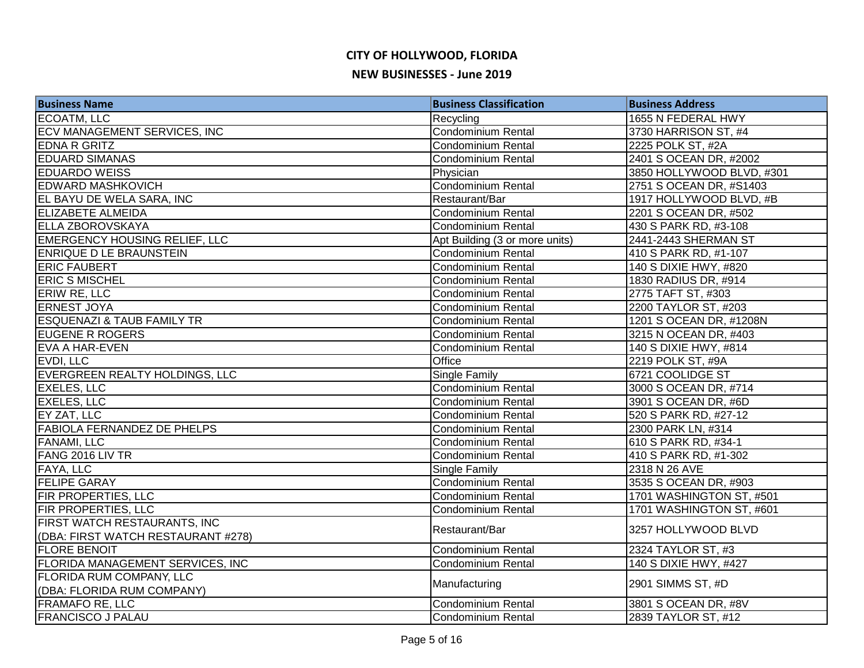| <b>Business Name</b>                  | <b>Business Classification</b> | <b>Business Address</b>   |
|---------------------------------------|--------------------------------|---------------------------|
| <b>ECOATM, LLC</b>                    | Recycling                      | 1655 N FEDERAL HWY        |
| ECV MANAGEMENT SERVICES, INC          | <b>Condominium Rental</b>      | 3730 HARRISON ST, #4      |
| <b>EDNA R GRITZ</b>                   | Condominium Rental             | 2225 POLK ST, #2A         |
| <b>EDUARD SIMANAS</b>                 | <b>Condominium Rental</b>      | 2401 S OCEAN DR, #2002    |
| <b>EDUARDO WEISS</b>                  | Physician                      | 3850 HOLLYWOOD BLVD, #301 |
| <b>EDWARD MASHKOVICH</b>              | <b>Condominium Rental</b>      | 2751 S OCEAN DR, #S1403   |
| EL BAYU DE WELA SARA, INC             | Restaurant/Bar                 | 1917 HOLLYWOOD BLVD, #B   |
| <b>ELIZABETE ALMEIDA</b>              | Condominium Rental             | 2201 S OCEAN DR, #502     |
| <b>ELLA ZBOROVSKAYA</b>               | Condominium Rental             | 430 S PARK RD, #3-108     |
| <b>EMERGENCY HOUSING RELIEF, LLC</b>  | Apt Building (3 or more units) | 2441-2443 SHERMAN ST      |
| <b>ENRIQUE D LE BRAUNSTEIN</b>        | Condominium Rental             | 410 S PARK RD, #1-107     |
| <b>ERIC FAUBERT</b>                   | Condominium Rental             | 140 S DIXIE HWY, #820     |
| <b>ERIC S MISCHEL</b>                 | <b>Condominium Rental</b>      | 1830 RADIUS DR, #914      |
| ERIW RE, LLC                          | <b>Condominium Rental</b>      | 2775 TAFT ST, #303        |
| <b>ERNEST JOYA</b>                    | <b>Condominium Rental</b>      | 2200 TAYLOR ST, #203      |
| <b>ESQUENAZI &amp; TAUB FAMILY TR</b> | Condominium Rental             | 1201 S OCEAN DR, #1208N   |
| <b>EUGENE R ROGERS</b>                | <b>Condominium Rental</b>      | 3215 N OCEAN DR, #403     |
| EVA A HAR-EVEN                        | Condominium Rental             | 140 S DIXIE HWY, #814     |
| EVDI, LLC                             | Office                         | 2219 POLK ST, #9A         |
| EVERGREEN REALTY HOLDINGS, LLC        | <b>Single Family</b>           | 6721 COOLIDGE ST          |
| <b>EXELES, LLC</b>                    | Condominium Rental             | 3000 S OCEAN DR, #714     |
| <b>EXELES, LLC</b>                    | Condominium Rental             | 3901 S OCEAN DR, #6D      |
| EY ZAT, LLC                           | Condominium Rental             | 520 S PARK RD, #27-12     |
| <b>FABIOLA FERNANDEZ DE PHELPS</b>    | <b>Condominium Rental</b>      | 2300 PARK LN, #314        |
| <b>FANAMI, LLC</b>                    | <b>Condominium Rental</b>      | 610 S PARK RD, #34-1      |
| FANG 2016 LIV TR                      | Condominium Rental             | 410 S PARK RD, #1-302     |
| <b>FAYA, LLC</b>                      | <b>Single Family</b>           | 2318 N 26 AVE             |
| <b>FELIPE GARAY</b>                   | Condominium Rental             | 3535 S OCEAN DR, #903     |
| <b>FIR PROPERTIES, LLC</b>            | <b>Condominium Rental</b>      | 1701 WASHINGTON ST, #501  |
| <b>FIR PROPERTIES, LLC</b>            | Condominium Rental             | 1701 WASHINGTON ST, #601  |
| FIRST WATCH RESTAURANTS, INC          | Restaurant/Bar                 | 3257 HOLLYWOOD BLVD       |
| (DBA: FIRST WATCH RESTAURANT #278)    |                                |                           |
| <b>FLORE BENOIT</b>                   | <b>Condominium Rental</b>      | 2324 TAYLOR ST, #3        |
| FLORIDA MANAGEMENT SERVICES, INC      | <b>Condominium Rental</b>      | 140 S DIXIE HWY, #427     |
| <b>FLORIDA RUM COMPANY, LLC</b>       |                                | 2901 SIMMS ST, #D         |
| (DBA: FLORIDA RUM COMPANY)            | Manufacturing                  |                           |
| <b>FRAMAFO RE, LLC</b>                | <b>Condominium Rental</b>      | 3801 S OCEAN DR, #8V      |
| <b>FRANCISCO J PALAU</b>              | Condominium Rental             | 2839 TAYLOR ST, #12       |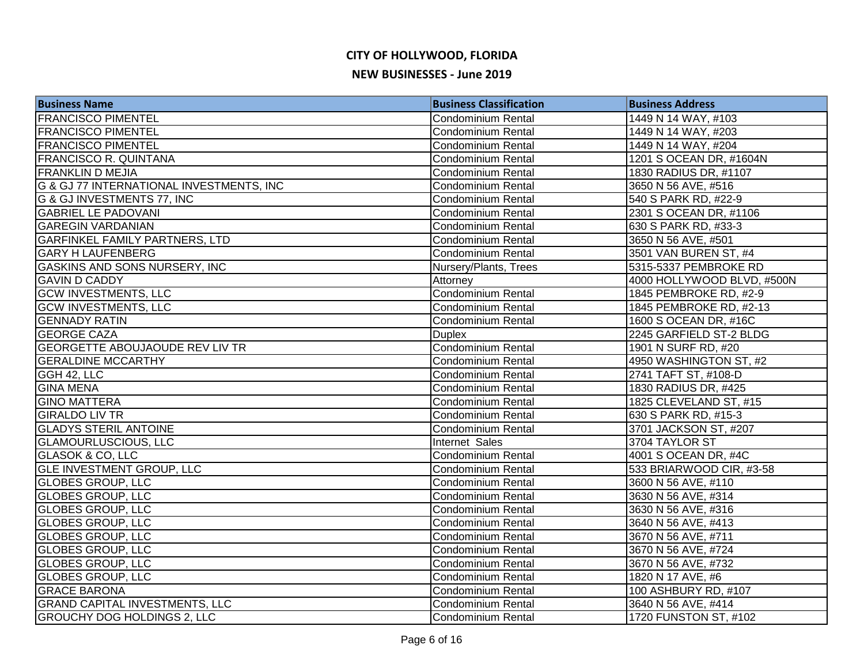| <b>Business Name</b>                     | <b>Business Classification</b> | <b>Business Address</b>    |
|------------------------------------------|--------------------------------|----------------------------|
| <b>FRANCISCO PIMENTEL</b>                | <b>Condominium Rental</b>      | 1449 N 14 WAY, #103        |
| <b>FRANCISCO PIMENTEL</b>                | <b>Condominium Rental</b>      | 1449 N 14 WAY, #203        |
| <b>FRANCISCO PIMENTEL</b>                | <b>Condominium Rental</b>      | 1449 N 14 WAY, #204        |
| <b>FRANCISCO R. QUINTANA</b>             | <b>Condominium Rental</b>      | 1201 S OCEAN DR, #1604N    |
| <b>FRANKLIN D MEJIA</b>                  | <b>Condominium Rental</b>      | 1830 RADIUS DR, #1107      |
| G & GJ 77 INTERNATIONAL INVESTMENTS, INC | <b>Condominium Rental</b>      | 3650 N 56 AVE, #516        |
| <b>G &amp; GJ INVESTMENTS 77, INC</b>    | <b>Condominium Rental</b>      | 540 S PARK RD, #22-9       |
| <b>GABRIEL LE PADOVANI</b>               | <b>Condominium Rental</b>      | 2301 S OCEAN DR, #1106     |
| <b>GAREGIN VARDANIAN</b>                 | <b>Condominium Rental</b>      | 630 S PARK RD, #33-3       |
| <b>GARFINKEL FAMILY PARTNERS, LTD</b>    | <b>Condominium Rental</b>      | 3650 N 56 AVE, #501        |
| <b>GARY H LAUFENBERG</b>                 | <b>Condominium Rental</b>      | 3501 VAN BUREN ST, #4      |
| <b>GASKINS AND SONS NURSERY, INC</b>     | Nursery/Plants, Trees          | 5315-5337 PEMBROKE RD      |
| <b>GAVIN D CADDY</b>                     | Attorney                       | 4000 HOLLYWOOD BLVD, #500N |
| <b>GCW INVESTMENTS, LLC</b>              | <b>Condominium Rental</b>      | 1845 PEMBROKE RD, #2-9     |
| <b>GCW INVESTMENTS, LLC</b>              | <b>Condominium Rental</b>      | 1845 PEMBROKE RD, #2-13    |
| <b>GENNADY RATIN</b>                     | <b>Condominium Rental</b>      | 1600 S OCEAN DR, #16C      |
| <b>GEORGE CAZA</b>                       | <b>Duplex</b>                  | 2245 GARFIELD ST-2 BLDG    |
| <b>GEORGETTE ABOUJAOUDE REV LIV TR</b>   | <b>Condominium Rental</b>      | 1901 N SURF RD, #20        |
| <b>GERALDINE MCCARTHY</b>                | <b>Condominium Rental</b>      | 4950 WASHINGTON ST, #2     |
| GGH 42, LLC                              | <b>Condominium Rental</b>      | 2741 TAFT ST, #108-D       |
| <b>GINA MENA</b>                         | <b>Condominium Rental</b>      | 1830 RADIUS DR, #425       |
| <b>GINO MATTERA</b>                      | <b>Condominium Rental</b>      | 1825 CLEVELAND ST, #15     |
| <b>GIRALDO LIV TR</b>                    | Condominium Rental             | 630 S PARK RD, #15-3       |
| <b>GLADYS STERIL ANTOINE</b>             | <b>Condominium Rental</b>      | 3701 JACKSON ST, #207      |
| <b>GLAMOURLUSCIOUS, LLC</b>              | Internet Sales                 | 3704 TAYLOR ST             |
| GLASOK & CO, LLC                         | <b>Condominium Rental</b>      | 4001 S OCEAN DR, #4C       |
| <b>GLE INVESTMENT GROUP, LLC</b>         | <b>Condominium Rental</b>      | 533 BRIARWOOD CIR, #3-58   |
| <b>GLOBES GROUP, LLC</b>                 | <b>Condominium Rental</b>      | 3600 N 56 AVE, #110        |
| <b>GLOBES GROUP, LLC</b>                 | Condominium Rental             | 3630 N 56 AVE, #314        |
| <b>GLOBES GROUP, LLC</b>                 | Condominium Rental             | 3630 N 56 AVE, #316        |
| <b>GLOBES GROUP, LLC</b>                 | <b>Condominium Rental</b>      | 3640 N 56 AVE, #413        |
| <b>GLOBES GROUP, LLC</b>                 | <b>Condominium Rental</b>      | 3670 N 56 AVE, #711        |
| <b>GLOBES GROUP, LLC</b>                 | <b>Condominium Rental</b>      | 3670 N 56 AVE, #724        |
| <b>GLOBES GROUP, LLC</b>                 | <b>Condominium Rental</b>      | 3670 N 56 AVE, #732        |
| <b>GLOBES GROUP, LLC</b>                 | <b>Condominium Rental</b>      | 1820 N 17 AVE, #6          |
| <b>GRACE BARONA</b>                      | <b>Condominium Rental</b>      | 100 ASHBURY RD, #107       |
| <b>GRAND CAPITAL INVESTMENTS, LLC</b>    | Condominium Rental             | 3640 N 56 AVE, #414        |
| <b>GROUCHY DOG HOLDINGS 2, LLC</b>       | Condominium Rental             | 1720 FUNSTON ST, #102      |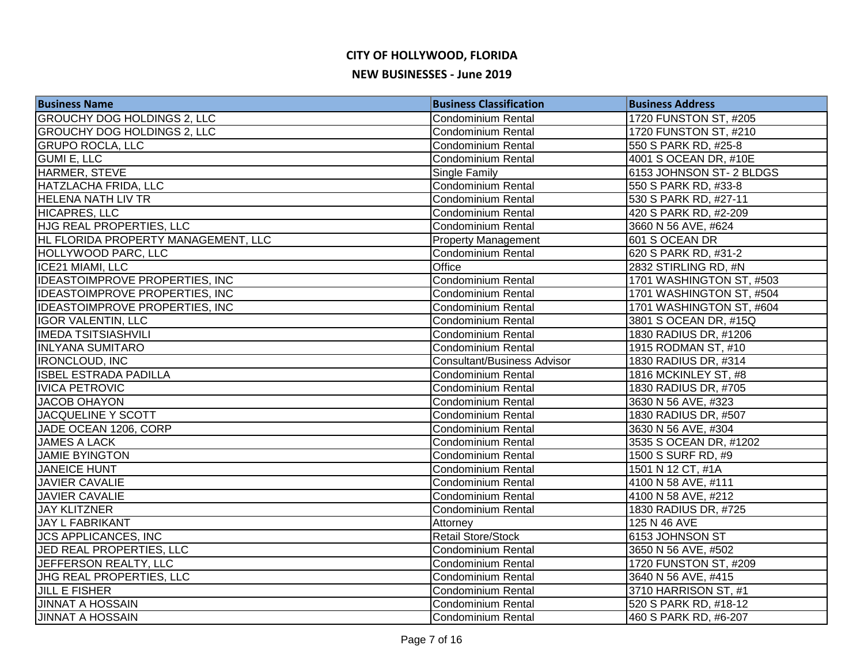| <b>Business Name</b>                  | <b>Business Classification</b>     | <b>Business Address</b>  |
|---------------------------------------|------------------------------------|--------------------------|
| <b>GROUCHY DOG HOLDINGS 2, LLC</b>    | <b>Condominium Rental</b>          | 1720 FUNSTON ST, #205    |
| <b>GROUCHY DOG HOLDINGS 2, LLC</b>    | <b>Condominium Rental</b>          | 1720 FUNSTON ST, #210    |
| <b>GRUPO ROCLA, LLC</b>               | <b>Condominium Rental</b>          | 550 S PARK RD, #25-8     |
| <b>GUMI E, LLC</b>                    | <b>Condominium Rental</b>          | 4001 S OCEAN DR, #10E    |
| HARMER, STEVE                         | Single Family                      | 6153 JOHNSON ST-2 BLDGS  |
| HATZLACHA FRIDA, LLC                  | Condominium Rental                 | 550 S PARK RD, #33-8     |
| <b>HELENA NATH LIV TR</b>             | <b>Condominium Rental</b>          | 530 S PARK RD, #27-11    |
| <b>HICAPRES, LLC</b>                  | <b>Condominium Rental</b>          | 420 S PARK RD, #2-209    |
| <b>HJG REAL PROPERTIES, LLC</b>       | <b>Condominium Rental</b>          | 3660 N 56 AVE, #624      |
| HL FLORIDA PROPERTY MANAGEMENT, LLC   | <b>Property Management</b>         | 601 S OCEAN DR           |
| HOLLYWOOD PARC, LLC                   | <b>Condominium Rental</b>          | 620 S PARK RD, #31-2     |
| ICE21 MIAMI, LLC                      | Office                             | 2832 STIRLING RD, #N     |
| <b>IDEASTOIMPROVE PROPERTIES, INC</b> | Condominium Rental                 | 1701 WASHINGTON ST, #503 |
| <b>IDEASTOIMPROVE PROPERTIES, INC</b> | <b>Condominium Rental</b>          | 1701 WASHINGTON ST, #504 |
| <b>IDEASTOIMPROVE PROPERTIES, INC</b> | <b>Condominium Rental</b>          | 1701 WASHINGTON ST, #604 |
| <b>IGOR VALENTIN, LLC</b>             | <b>Condominium Rental</b>          | 3801 S OCEAN DR, #15Q    |
| <b>IMEDA TSITSIASHVILI</b>            | Condominium Rental                 | 1830 RADIUS DR, #1206    |
| <b>INLYANA SUMITARO</b>               | Condominium Rental                 | 1915 RODMAN ST, #10      |
| <b>IRONCLOUD, INC</b>                 | <b>Consultant/Business Advisor</b> | 1830 RADIUS DR, #314     |
| <b>ISBEL ESTRADA PADILLA</b>          | <b>Condominium Rental</b>          | 1816 MCKINLEY ST, #8     |
| <b>IVICA PETROVIC</b>                 | <b>Condominium Rental</b>          | 1830 RADIUS DR, #705     |
| <b>JACOB OHAYON</b>                   | <b>Condominium Rental</b>          | 3630 N 56 AVE, #323      |
| JACQUELINE Y SCOTT                    | <b>Condominium Rental</b>          | 1830 RADIUS DR, #507     |
| JADE OCEAN 1206, CORP                 | <b>Condominium Rental</b>          | 3630 N 56 AVE, #304      |
| <b>JAMES A LACK</b>                   | <b>Condominium Rental</b>          | 3535 S OCEAN DR, #1202   |
| <b>JAMIE BYINGTON</b>                 | <b>Condominium Rental</b>          | 1500 S SURF RD, #9       |
| <b>JANEICE HUNT</b>                   | <b>Condominium Rental</b>          | 1501 N 12 CT, #1A        |
| <b>JAVIER CAVALIE</b>                 | Condominium Rental                 | 4100 N 58 AVE, #111      |
| <b>JAVIER CAVALIE</b>                 | <b>Condominium Rental</b>          | 4100 N 58 AVE, #212      |
| <b>JAY KLITZNER</b>                   | Condominium Rental                 | 1830 RADIUS DR, #725     |
| <b>JAY L FABRIKANT</b>                | Attorney                           | 125 N 46 AVE             |
| <b>JCS APPLICANCES, INC</b>           | <b>Retail Store/Stock</b>          | 6153 JOHNSON ST          |
| JED REAL PROPERTIES, LLC              | Condominium Rental                 | 3650 N 56 AVE, #502      |
| JEFFERSON REALTY, LLC                 | <b>Condominium Rental</b>          | 1720 FUNSTON ST, #209    |
| JHG REAL PROPERTIES, LLC              | <b>Condominium Rental</b>          | 3640 N 56 AVE, #415      |
| <b>JILL E FISHER</b>                  | Condominium Rental                 | 3710 HARRISON ST, #1     |
| <b>JINNAT A HOSSAIN</b>               | <b>Condominium Rental</b>          | 520 S PARK RD, #18-12    |
| <b>JINNAT A HOSSAIN</b>               | <b>Condominium Rental</b>          | 460 S PARK RD, #6-207    |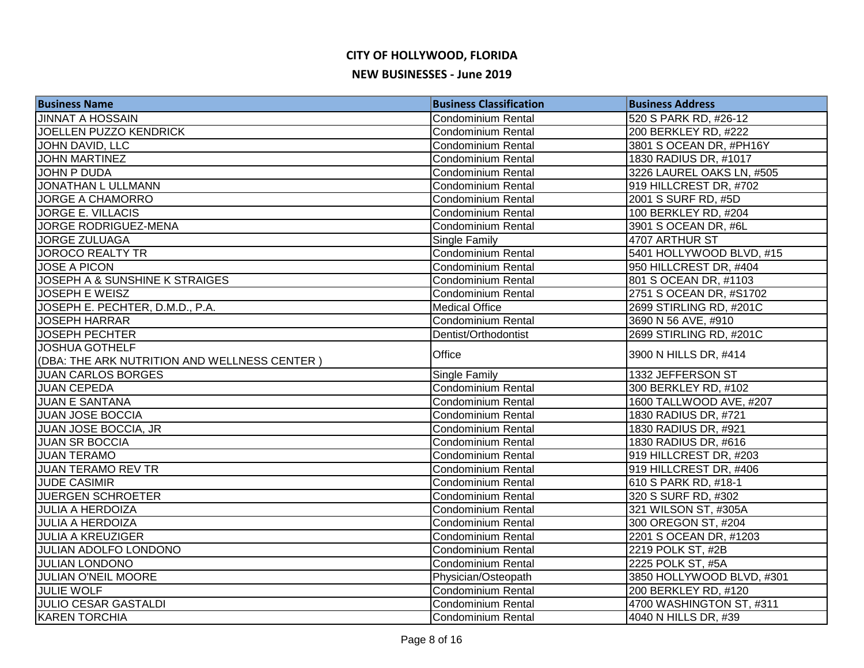| <b>Business Name</b>                         | <b>Business Classification</b> | <b>Business Address</b>   |
|----------------------------------------------|--------------------------------|---------------------------|
| <b>JINNAT A HOSSAIN</b>                      | <b>Condominium Rental</b>      | 520 S PARK RD, #26-12     |
| JOELLEN PUZZO KENDRICK                       | <b>Condominium Rental</b>      | 200 BERKLEY RD, #222      |
| JOHN DAVID, LLC                              | <b>Condominium Rental</b>      | 3801 S OCEAN DR, #PH16Y   |
| <b>JOHN MARTINEZ</b>                         | <b>Condominium Rental</b>      | 1830 RADIUS DR, #1017     |
| <b>JOHN P DUDA</b>                           | <b>Condominium Rental</b>      | 3226 LAUREL OAKS LN, #505 |
| <b>JONATHAN L ULLMANN</b>                    | <b>Condominium Rental</b>      | 919 HILLCREST DR, #702    |
| <b>JORGE A CHAMORRO</b>                      | <b>Condominium Rental</b>      | 2001 S SURF RD, #5D       |
| <b>JORGE E. VILLACIS</b>                     | Condominium Rental             | 100 BERKLEY RD, #204      |
| JORGE RODRIGUEZ-MENA                         | <b>Condominium Rental</b>      | 3901 S OCEAN DR, #6L      |
| <b>JORGE ZULUAGA</b>                         | Single Family                  | 4707 ARTHUR ST            |
| <b>JOROCO REALTY TR</b>                      | <b>Condominium Rental</b>      | 5401 HOLLYWOOD BLVD, #15  |
| <b>JOSE A PICON</b>                          | <b>Condominium Rental</b>      | 950 HILLCREST DR, #404    |
| JOSEPH A & SUNSHINE K STRAIGES               | <b>Condominium Rental</b>      | 801 S OCEAN DR, #1103     |
| <b>JOSEPH E WEISZ</b>                        | <b>Condominium Rental</b>      | 2751 S OCEAN DR, #S1702   |
| JOSEPH E. PECHTER, D.M.D., P.A.              | <b>Medical Office</b>          | 2699 STIRLING RD, #201C   |
| <b>JOSEPH HARRAR</b>                         | <b>Condominium Rental</b>      | 3690 N 56 AVE, #910       |
| <b>JOSEPH PECHTER</b>                        | Dentist/Orthodontist           | 2699 STIRLING RD, #201C   |
| <b>JOSHUA GOTHELF</b>                        | Office                         |                           |
| (DBA: THE ARK NUTRITION AND WELLNESS CENTER) |                                | 3900 N HILLS DR, #414     |
| <b>JUAN CARLOS BORGES</b>                    | Single Family                  | 1332 JEFFERSON ST         |
| <b>JUAN CEPEDA</b>                           | <b>Condominium Rental</b>      | 300 BERKLEY RD, #102      |
| <b>JUAN E SANTANA</b>                        | <b>Condominium Rental</b>      | 1600 TALLWOOD AVE, #207   |
| <b>JUAN JOSE BOCCIA</b>                      | <b>Condominium Rental</b>      | 1830 RADIUS DR, #721      |
| JUAN JOSE BOCCIA, JR                         | <b>Condominium Rental</b>      | 1830 RADIUS DR, #921      |
| <b>JUAN SR BOCCIA</b>                        | <b>Condominium Rental</b>      | 1830 RADIUS DR, #616      |
| <b>JUAN TERAMO</b>                           | <b>Condominium Rental</b>      | 919 HILLCREST DR, #203    |
| <b>JUAN TERAMO REV TR</b>                    | <b>Condominium Rental</b>      | 919 HILLCREST DR, #406    |
| <b>JUDE CASIMIR</b>                          | <b>Condominium Rental</b>      | 610 S PARK RD, #18-1      |
| JUERGEN SCHROETER                            | <b>Condominium Rental</b>      | 320 S SURF RD, #302       |
| <b>JULIA A HERDOIZA</b>                      | <b>Condominium Rental</b>      | 321 WILSON ST, #305A      |
| <b>JULIA A HERDOIZA</b>                      | <b>Condominium Rental</b>      | 300 OREGON ST, #204       |
| <b>JULIA A KREUZIGER</b>                     | <b>Condominium Rental</b>      | 2201 S OCEAN DR, #1203    |
| <b>JULIAN ADOLFO LONDONO</b>                 | <b>Condominium Rental</b>      | 2219 POLK ST, #2B         |
| <b>JULIAN LONDONO</b>                        | Condominium Rental             | 2225 POLK ST, #5A         |
| JULIAN O'NEIL MOORE                          | Physician/Osteopath            | 3850 HOLLYWOOD BLVD, #301 |
| <b>JULIE WOLF</b>                            | <b>Condominium Rental</b>      | 200 BERKLEY RD, #120      |
| <b>JULIO CESAR GASTALDI</b>                  | <b>Condominium Rental</b>      | 4700 WASHINGTON ST, #311  |
| <b>KAREN TORCHIA</b>                         | <b>Condominium Rental</b>      | 4040 N HILLS DR, #39      |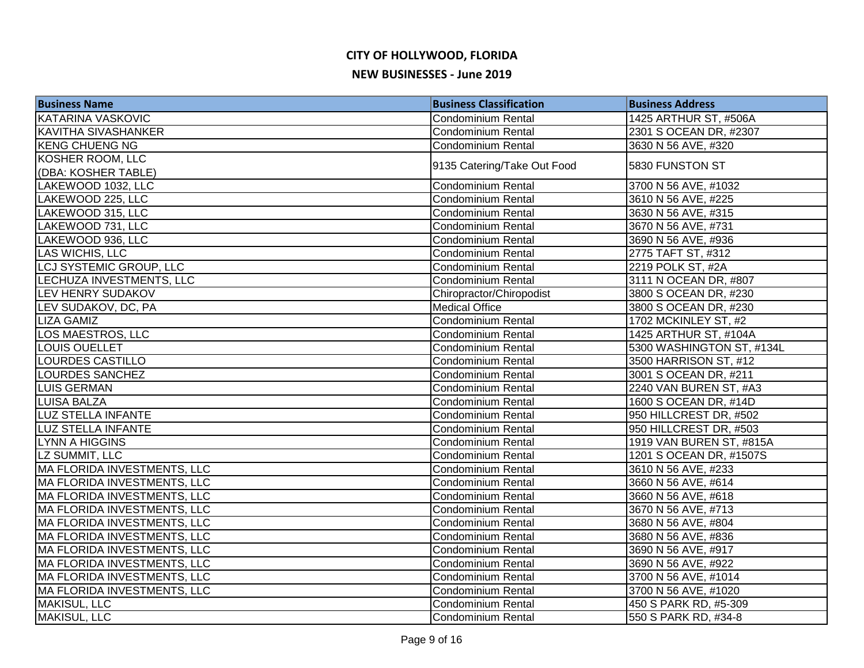| <b>Business Name</b>               | <b>Business Classification</b> | <b>Business Address</b>   |
|------------------------------------|--------------------------------|---------------------------|
| <b>KATARINA VASKOVIC</b>           | Condominium Rental             | 1425 ARTHUR ST, #506A     |
| <b>KAVITHA SIVASHANKER</b>         | <b>Condominium Rental</b>      | 2301 S OCEAN DR, #2307    |
| <b>KENG CHUENG NG</b>              | <b>Condominium Rental</b>      | 3630 N 56 AVE, #320       |
| KOSHER ROOM, LLC                   |                                | 5830 FUNSTON ST           |
| (DBA: KOSHER TABLE)                | 9135 Catering/Take Out Food    |                           |
| LAKEWOOD 1032, LLC                 | Condominium Rental             | 3700 N 56 AVE, #1032      |
| LAKEWOOD 225, LLC                  | <b>Condominium Rental</b>      | 3610 N 56 AVE, #225       |
| LAKEWOOD 315, LLC                  | Condominium Rental             | 3630 N 56 AVE, #315       |
| LAKEWOOD 731, LLC                  | Condominium Rental             | 3670 N 56 AVE, #731       |
| LAKEWOOD 936, LLC                  | Condominium Rental             | 3690 N 56 AVE, #936       |
| LAS WICHIS, LLC                    | <b>Condominium Rental</b>      | 2775 TAFT ST, #312        |
| LCJ SYSTEMIC GROUP, LLC            | <b>Condominium Rental</b>      | 2219 POLK ST, #2A         |
| LECHUZA INVESTMENTS, LLC           | <b>Condominium Rental</b>      | 3111 N OCEAN DR, #807     |
| LEV HENRY SUDAKOV                  | Chiropractor/Chiropodist       | 3800 S OCEAN DR, #230     |
| LEV SUDAKOV, DC, PA                | <b>Medical Office</b>          | 3800 S OCEAN DR, #230     |
| <b>LIZA GAMIZ</b>                  | Condominium Rental             | 1702 MCKINLEY ST, #2      |
| LOS MAESTROS, LLC                  | <b>Condominium Rental</b>      | 1425 ARTHUR ST, #104A     |
| LOUIS OUELLET                      | <b>Condominium Rental</b>      | 5300 WASHINGTON ST, #134L |
| LOURDES CASTILLO                   | Condominium Rental             | 3500 HARRISON ST, #12     |
| <b>LOURDES SANCHEZ</b>             | Condominium Rental             | 3001 S OCEAN DR, #211     |
| LUIS GERMAN                        | Condominium Rental             | 2240 VAN BUREN ST, #A3    |
| LUISA BALZA                        | Condominium Rental             | 1600 S OCEAN DR, #14D     |
| LUZ STELLA INFANTE                 | <b>Condominium Rental</b>      | 950 HILLCREST DR, #502    |
| <b>LUZ STELLA INFANTE</b>          | <b>Condominium Rental</b>      | 950 HILLCREST DR, #503    |
| <b>LYNN A HIGGINS</b>              | <b>Condominium Rental</b>      | 1919 VAN BUREN ST, #815A  |
| LZ SUMMIT, LLC                     | <b>Condominium Rental</b>      | 1201 S OCEAN DR, #1507S   |
| <b>MA FLORIDA INVESTMENTS, LLC</b> | Condominium Rental             | 3610 N 56 AVE, #233       |
| <b>MA FLORIDA INVESTMENTS, LLC</b> | <b>Condominium Rental</b>      | 3660 N 56 AVE, #614       |
| <b>MA FLORIDA INVESTMENTS, LLC</b> | <b>Condominium Rental</b>      | 3660 N 56 AVE, #618       |
| MA FLORIDA INVESTMENTS, LLC        | Condominium Rental             | 3670 N 56 AVE, #713       |
| <b>MA FLORIDA INVESTMENTS, LLC</b> | Condominium Rental             | 3680 N 56 AVE, #804       |
| <b>MA FLORIDA INVESTMENTS, LLC</b> | <b>Condominium Rental</b>      | 3680 N 56 AVE, #836       |
| MA FLORIDA INVESTMENTS, LLC        | Condominium Rental             | 3690 N 56 AVE, #917       |
| MA FLORIDA INVESTMENTS, LLC        | <b>Condominium Rental</b>      | 3690 N 56 AVE, #922       |
| MA FLORIDA INVESTMENTS, LLC        | Condominium Rental             | 3700 N 56 AVE, #1014      |
| MA FLORIDA INVESTMENTS, LLC        | <b>Condominium Rental</b>      | 3700 N 56 AVE, #1020      |
| MAKISUL, LLC                       | <b>Condominium Rental</b>      | 450 S PARK RD, #5-309     |
| <b>MAKISUL, LLC</b>                | <b>Condominium Rental</b>      | 550 S PARK RD, #34-8      |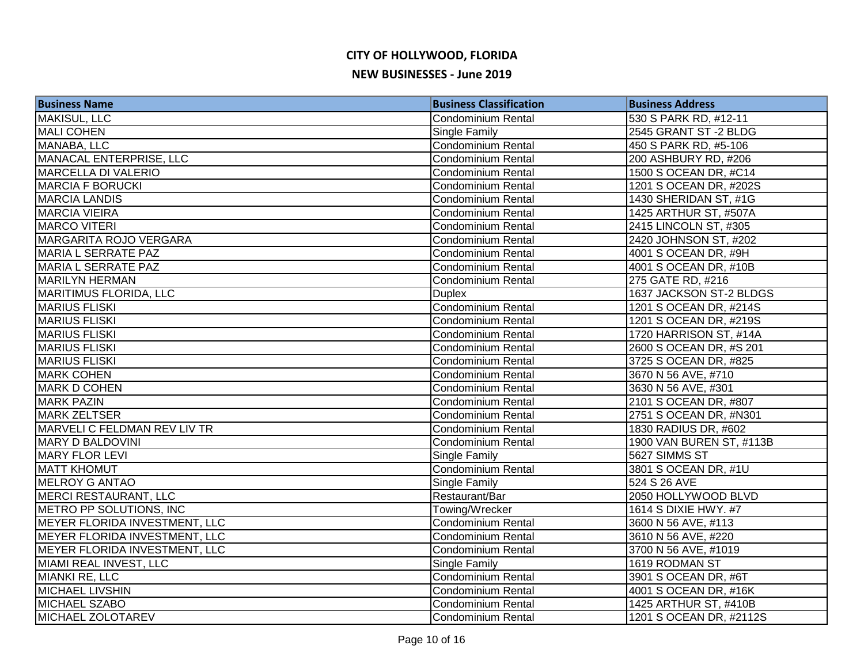| <b>Business Name</b>          | <b>Business Classification</b> | <b>Business Address</b>  |
|-------------------------------|--------------------------------|--------------------------|
| MAKISUL, LLC                  | <b>Condominium Rental</b>      | 530 S PARK RD, #12-11    |
| MALI COHEN                    | Single Family                  | 2545 GRANT ST-2 BLDG     |
| MANABA, LLC                   | Condominium Rental             | 450 S PARK RD, #5-106    |
| MANACAL ENTERPRISE, LLC       | <b>Condominium Rental</b>      | 200 ASHBURY RD, #206     |
| <b>MARCELLA DI VALERIO</b>    | <b>Condominium Rental</b>      | 1500 S OCEAN DR, #C14    |
| <b>MARCIA F BORUCKI</b>       | <b>Condominium Rental</b>      | 1201 S OCEAN DR, #202S   |
| <b>MARCIA LANDIS</b>          | <b>Condominium Rental</b>      | 1430 SHERIDAN ST, #1G    |
| <b>MARCIA VIEIRA</b>          | <b>Condominium Rental</b>      | 1425 ARTHUR ST, #507A    |
| <b>MARCO VITERI</b>           | Condominium Rental             | 2415 LINCOLN ST, #305    |
| MARGARITA ROJO VERGARA        | <b>Condominium Rental</b>      | 2420 JOHNSON ST, #202    |
| MARIA L SERRATE PAZ           | <b>Condominium Rental</b>      | 4001 S OCEAN DR, #9H     |
| <b>MARIA L SERRATE PAZ</b>    | <b>Condominium Rental</b>      | 4001 S OCEAN DR, #10B    |
| <b>MARILYN HERMAN</b>         | <b>Condominium Rental</b>      | 275 GATE RD, #216        |
| <b>MARITIMUS FLORIDA, LLC</b> | <b>Duplex</b>                  | 1637 JACKSON ST-2 BLDGS  |
| <b>MARIUS FLISKI</b>          | Condominium Rental             | 1201 S OCEAN DR, #214S   |
| <b>MARIUS FLISKI</b>          | <b>Condominium Rental</b>      | 1201 S OCEAN DR, #219S   |
| <b>MARIUS FLISKI</b>          | <b>Condominium Rental</b>      | 1720 HARRISON ST, #14A   |
| <b>MARIUS FLISKI</b>          | Condominium Rental             | 2600 S OCEAN DR, #S 201  |
| <b>MARIUS FLISKI</b>          | <b>Condominium Rental</b>      | 3725 S OCEAN DR, #825    |
| <b>MARK COHEN</b>             | <b>Condominium Rental</b>      | 3670 N 56 AVE, #710      |
| <b>MARK D COHEN</b>           | <b>Condominium Rental</b>      | 3630 N 56 AVE, #301      |
| <b>MARK PAZIN</b>             | <b>Condominium Rental</b>      | 2101 S OCEAN DR, #807    |
| <b>MARK ZELTSER</b>           | <b>Condominium Rental</b>      | 2751 S OCEAN DR, #N301   |
| MARVELI C FELDMAN REV LIV TR  | <b>Condominium Rental</b>      | 1830 RADIUS DR, #602     |
| <b>MARY D BALDOVINI</b>       | <b>Condominium Rental</b>      | 1900 VAN BUREN ST, #113B |
| <b>MARY FLOR LEVI</b>         | <b>Single Family</b>           | 5627 SIMMS ST            |
| <b>MATT KHOMUT</b>            | Condominium Rental             | 3801 S OCEAN DR, #1U     |
| MELROY G ANTAO                | Single Family                  | 524 S 26 AVE             |
| <b>MERCI RESTAURANT, LLC</b>  | Restaurant/Bar                 | 2050 HOLLYWOOD BLVD      |
| METRO PP SOLUTIONS, INC       | Towing/Wrecker                 | 1614 S DIXIE HWY. #7     |
| MEYER FLORIDA INVESTMENT, LLC | <b>Condominium Rental</b>      | 3600 N 56 AVE, #113      |
| MEYER FLORIDA INVESTMENT, LLC | <b>Condominium Rental</b>      | 3610 N 56 AVE, #220      |
| MEYER FLORIDA INVESTMENT, LLC | <b>Condominium Rental</b>      | 3700 N 56 AVE, #1019     |
| MIAMI REAL INVEST, LLC        | Single Family                  | 1619 RODMAN ST           |
| <b>MIANKI RE, LLC</b>         | Condominium Rental             | 3901 S OCEAN DR, #6T     |
| <b>MICHAEL LIVSHIN</b>        | Condominium Rental             | 4001 S OCEAN DR, #16K    |
| <b>MICHAEL SZABO</b>          | Condominium Rental             | 1425 ARTHUR ST, #410B    |
| MICHAEL ZOLOTAREV             | <b>Condominium Rental</b>      | 1201 S OCEAN DR, #2112S  |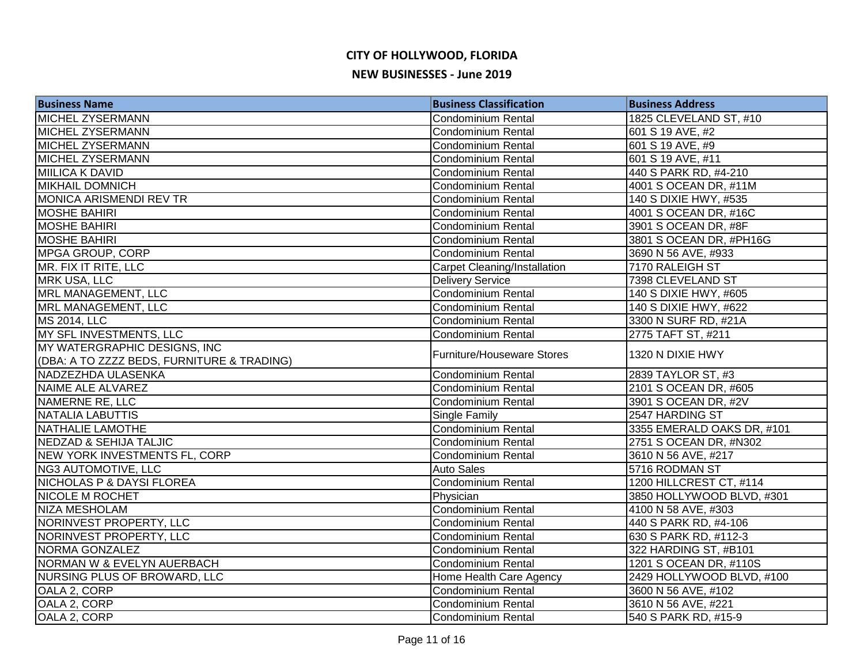| <b>Business Name</b>                       | <b>Business Classification</b>      | <b>Business Address</b>    |
|--------------------------------------------|-------------------------------------|----------------------------|
| MICHEL ZYSERMANN                           | <b>Condominium Rental</b>           | 1825 CLEVELAND ST, #10     |
| <b>MICHEL ZYSERMANN</b>                    | <b>Condominium Rental</b>           | 601 S 19 AVE, #2           |
| <b>MICHEL ZYSERMANN</b>                    | <b>Condominium Rental</b>           | 601 S 19 AVE, #9           |
| <b>MICHEL ZYSERMANN</b>                    | Condominium Rental                  | 601 S 19 AVE, #11          |
| MIILICA K DAVID                            | <b>Condominium Rental</b>           | 440 S PARK RD, #4-210      |
| <b>MIKHAIL DOMNICH</b>                     | <b>Condominium Rental</b>           | 4001 S OCEAN DR, #11M      |
| MONICA ARISMENDI REV TR                    | Condominium Rental                  | 140 S DIXIE HWY, #535      |
| <b>MOSHE BAHIRI</b>                        | Condominium Rental                  | 4001 S OCEAN DR, #16C      |
| <b>MOSHE BAHIRI</b>                        | Condominium Rental                  | 3901 S OCEAN DR, #8F       |
| <b>MOSHE BAHIRI</b>                        | Condominium Rental                  | 3801 S OCEAN DR, #PH16G    |
| <b>MPGA GROUP, CORP</b>                    | <b>Condominium Rental</b>           | 3690 N 56 AVE, #933        |
| MR. FIX IT RITE, LLC                       | <b>Carpet Cleaning/Installation</b> | 7170 RALEIGH ST            |
| MRK USA, LLC                               | <b>Delivery Service</b>             | 7398 CLEVELAND ST          |
| MRL MANAGEMENT, LLC                        | Condominium Rental                  | 140 S DIXIE HWY, #605      |
| MRL MANAGEMENT, LLC                        | <b>Condominium Rental</b>           | 140 S DIXIE HWY, #622      |
| MS 2014, LLC                               | Condominium Rental                  | 3300 N SURF RD, #21A       |
| MY SFL INVESTMENTS, LLC                    | <b>Condominium Rental</b>           | 2775 TAFT ST, #211         |
| MY WATERGRAPHIC DESIGNS, INC               | Furniture/Houseware Stores          | 1320 N DIXIE HWY           |
| (DBA: A TO ZZZZ BEDS, FURNITURE & TRADING) |                                     |                            |
| NADZEZHDA ULASENKA                         | Condominium Rental                  | 2839 TAYLOR ST, #3         |
| NAIME ALE ALVAREZ                          | <b>Condominium Rental</b>           | 2101 S OCEAN DR, #605      |
| NAMERNE RE, LLC                            | <b>Condominium Rental</b>           | 3901 S OCEAN DR, #2V       |
| NATALIA LABUTTIS                           | Single Family                       | 2547 HARDING ST            |
| <b>NATHALIE LAMOTHE</b>                    | Condominium Rental                  | 3355 EMERALD OAKS DR, #101 |
| <b>NEDZAD &amp; SEHIJA TALJIC</b>          | <b>Condominium Rental</b>           | 2751 S OCEAN DR, #N302     |
| <b>NEW YORK INVESTMENTS FL, CORP</b>       | <b>Condominium Rental</b>           | 3610 N 56 AVE, #217        |
| <b>NG3 AUTOMOTIVE, LLC</b>                 | <b>Auto Sales</b>                   | 5716 RODMAN ST             |
| <b>NICHOLAS P &amp; DAYSI FLOREA</b>       | <b>Condominium Rental</b>           | 1200 HILLCREST CT, #114    |
| <b>NICOLE M ROCHET</b>                     | Physician                           | 3850 HOLLYWOOD BLVD, #301  |
| <b>NIZA MESHOLAM</b>                       | <b>Condominium Rental</b>           | 4100 N 58 AVE, #303        |
| NORINVEST PROPERTY, LLC                    | <b>Condominium Rental</b>           | 440 S PARK RD, #4-106      |
| NORINVEST PROPERTY, LLC                    | <b>Condominium Rental</b>           | 630 S PARK RD, #112-3      |
| NORMA GONZALEZ                             | <b>Condominium Rental</b>           | 322 HARDING ST, #B101      |
| NORMAN W & EVELYN AUERBACH                 | Condominium Rental                  | 1201 S OCEAN DR, #110S     |
| NURSING PLUS OF BROWARD, LLC               | Home Health Care Agency             | 2429 HOLLYWOOD BLVD, #100  |
| OALA 2, CORP                               | Condominium Rental                  | 3600 N 56 AVE, #102        |
| OALA 2, CORP                               | Condominium Rental                  | 3610 N 56 AVE, #221        |
| OALA 2, CORP                               | Condominium Rental                  | 540 S PARK RD, #15-9       |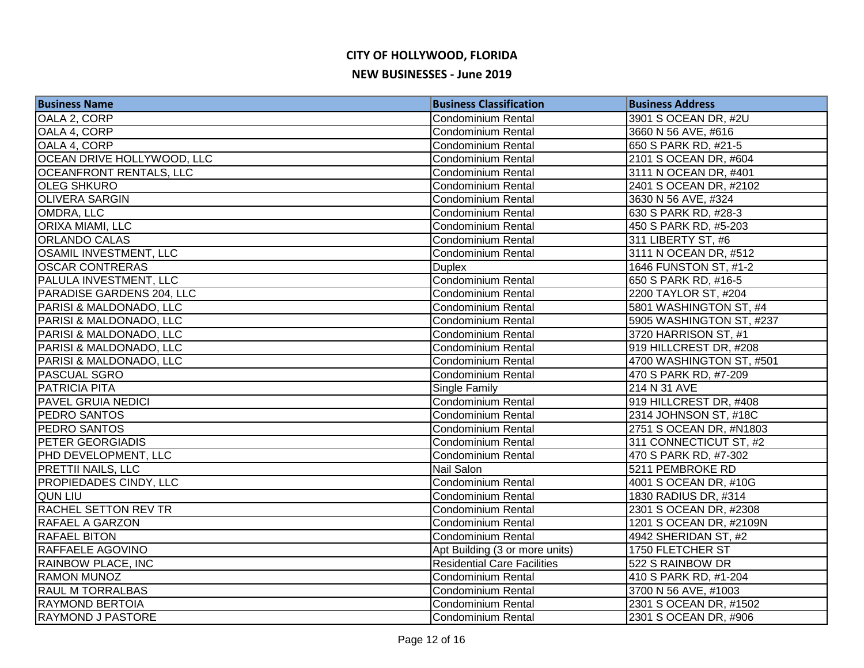| <b>Business Name</b>               | <b>Business Classification</b>     | <b>Business Address</b>  |
|------------------------------------|------------------------------------|--------------------------|
| OALA 2, CORP                       | <b>Condominium Rental</b>          | 3901 S OCEAN DR, #2U     |
| OALA 4, CORP                       | <b>Condominium Rental</b>          | 3660 N 56 AVE, #616      |
| OALA 4, CORP                       | <b>Condominium Rental</b>          | 650 S PARK RD, #21-5     |
| OCEAN DRIVE HOLLYWOOD, LLC         | <b>Condominium Rental</b>          | 2101 S OCEAN DR, #604    |
| <b>OCEANFRONT RENTALS, LLC</b>     | <b>Condominium Rental</b>          | 3111 N OCEAN DR, #401    |
| <b>OLEG SHKURO</b>                 | <b>Condominium Rental</b>          | 2401 S OCEAN DR, #2102   |
| <b>OLIVERA SARGIN</b>              | <b>Condominium Rental</b>          | 3630 N 56 AVE, #324      |
| OMDRA, LLC                         | Condominium Rental                 | 630 S PARK RD, #28-3     |
| <b>ORIXA MIAMI, LLC</b>            | <b>Condominium Rental</b>          | 450 S PARK RD, #5-203    |
| <b>ORLANDO CALAS</b>               | <b>Condominium Rental</b>          | 311 LIBERTY ST, #6       |
| <b>OSAMIL INVESTMENT, LLC</b>      | Condominium Rental                 | 3111 N OCEAN DR, #512    |
| <b>OSCAR CONTRERAS</b>             | <b>Duplex</b>                      | 1646 FUNSTON ST, #1-2    |
| PALULA INVESTMENT, LLC             | Condominium Rental                 | 650 S PARK RD, #16-5     |
| PARADISE GARDENS 204, LLC          | <b>Condominium Rental</b>          | 2200 TAYLOR ST, #204     |
| PARISI & MALDONADO, LLC            | <b>Condominium Rental</b>          | 5801 WASHINGTON ST, #4   |
| <b>PARISI &amp; MALDONADO, LLC</b> | <b>Condominium Rental</b>          | 5905 WASHINGTON ST, #237 |
| PARISI & MALDONADO, LLC            | Condominium Rental                 | 3720 HARRISON ST, #1     |
| PARISI & MALDONADO, LLC            | <b>Condominium Rental</b>          | 919 HILLCREST DR, #208   |
| PARISI & MALDONADO, LLC            | Condominium Rental                 | 4700 WASHINGTON ST, #501 |
| <b>PASCUAL SGRO</b>                | Condominium Rental                 | 470 S PARK RD, #7-209    |
| <b>PATRICIA PITA</b>               | Single Family                      | 214 N 31 AVE             |
| <b>PAVEL GRUIA NEDICI</b>          | <b>Condominium Rental</b>          | 919 HILLCREST DR, #408   |
| <b>PEDRO SANTOS</b>                | <b>Condominium Rental</b>          | 2314 JOHNSON ST, #18C    |
| <b>PEDRO SANTOS</b>                | <b>Condominium Rental</b>          | 2751 S OCEAN DR, #N1803  |
| <b>PETER GEORGIADIS</b>            | <b>Condominium Rental</b>          | 311 CONNECTICUT ST, #2   |
| PHD DEVELOPMENT, LLC               | <b>Condominium Rental</b>          | 470 S PARK RD, #7-302    |
| <b>PRETTII NAILS, LLC</b>          | Nail Salon                         | 5211 PEMBROKE RD         |
| <b>PROPIEDADES CINDY, LLC</b>      | Condominium Rental                 | 4001 S OCEAN DR, #10G    |
| <b>QUN LIU</b>                     | Condominium Rental                 | 1830 RADIUS DR, #314     |
| <b>RACHEL SETTON REV TR</b>        | Condominium Rental                 | 2301 S OCEAN DR, #2308   |
| <b>RAFAEL A GARZON</b>             | <b>Condominium Rental</b>          | 1201 S OCEAN DR, #2109N  |
| <b>RAFAEL BITON</b>                | <b>Condominium Rental</b>          | 4942 SHERIDAN ST, #2     |
| <b>RAFFAELE AGOVINO</b>            | Apt Building (3 or more units)     | 1750 FLETCHER ST         |
| <b>RAINBOW PLACE, INC</b>          | <b>Residential Care Facilities</b> | 522 S RAINBOW DR         |
| <b>RAMON MUNOZ</b>                 | <b>Condominium Rental</b>          | 410 S PARK RD, #1-204    |
| <b>RAUL M TORRALBAS</b>            | Condominium Rental                 | 3700 N 56 AVE, #1003     |
| <b>RAYMOND BERTOIA</b>             | <b>Condominium Rental</b>          | 2301 S OCEAN DR, #1502   |
| <b>RAYMOND J PASTORE</b>           | <b>Condominium Rental</b>          | 2301 S OCEAN DR, #906    |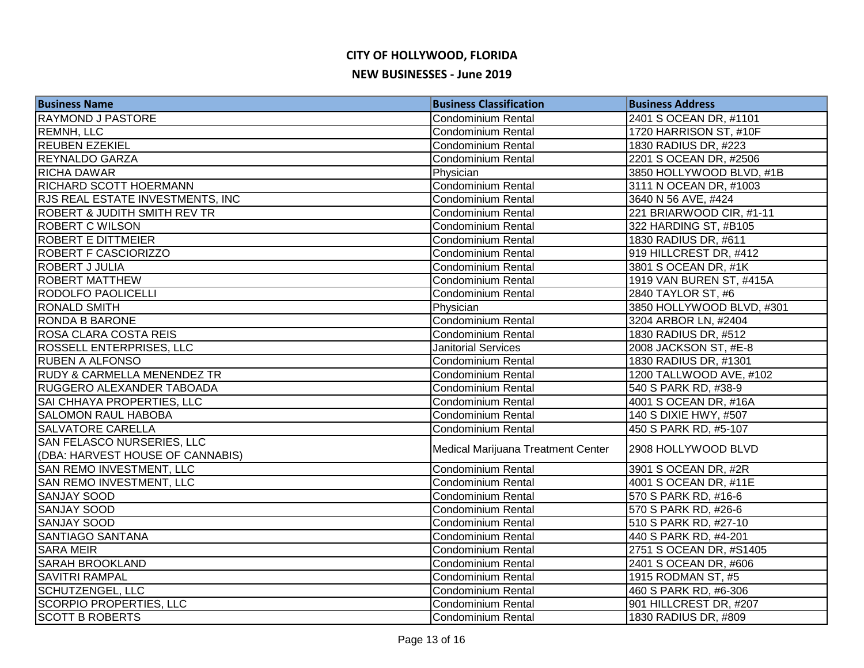| <b>Business Name</b>                    | <b>Business Classification</b>     | <b>Business Address</b>   |
|-----------------------------------------|------------------------------------|---------------------------|
| <b>RAYMOND J PASTORE</b>                | <b>Condominium Rental</b>          | 2401 S OCEAN DR, #1101    |
| <b>REMNH, LLC</b>                       | <b>Condominium Rental</b>          | 1720 HARRISON ST, #10F    |
| <b>REUBEN EZEKIEL</b>                   | <b>Condominium Rental</b>          | 1830 RADIUS DR, #223      |
| <b>REYNALDO GARZA</b>                   | <b>Condominium Rental</b>          | 2201 S OCEAN DR, #2506    |
| <b>RICHA DAWAR</b>                      | Physician                          | 3850 HOLLYWOOD BLVD, #1B  |
| RICHARD SCOTT HOERMANN                  | Condominium Rental                 | 3111 N OCEAN DR, #1003    |
| RJS REAL ESTATE INVESTMENTS, INC        | <b>Condominium Rental</b>          | 3640 N 56 AVE, #424       |
| <b>ROBERT &amp; JUDITH SMITH REV TR</b> | <b>Condominium Rental</b>          | 221 BRIARWOOD CIR, #1-11  |
| <b>ROBERT C WILSON</b>                  | <b>Condominium Rental</b>          | 322 HARDING ST, #B105     |
| <b>ROBERT E DITTMEIER</b>               | <b>Condominium Rental</b>          | 1830 RADIUS DR, #611      |
| <b>ROBERT F CASCIORIZZO</b>             | <b>Condominium Rental</b>          | 919 HILLCREST DR, #412    |
| ROBERT J JULIA                          | <b>Condominium Rental</b>          | 3801 S OCEAN DR, #1K      |
| <b>ROBERT MATTHEW</b>                   | <b>Condominium Rental</b>          | 1919 VAN BUREN ST, #415A  |
| <b>RODOLFO PAOLICELLI</b>               | Condominium Rental                 | 2840 TAYLOR ST, #6        |
| <b>RONALD SMITH</b>                     | Physician                          | 3850 HOLLYWOOD BLVD, #301 |
| RONDA B BARONE                          | <b>Condominium Rental</b>          | 3204 ARBOR LN, #2404      |
| ROSA CLARA COSTA REIS                   | <b>Condominium Rental</b>          | 1830 RADIUS DR, #512      |
| ROSSELL ENTERPRISES, LLC                | <b>Janitorial Services</b>         | 2008 JACKSON ST, #E-8     |
| <b>RUBEN A ALFONSO</b>                  | <b>Condominium Rental</b>          | 1830 RADIUS DR, #1301     |
| <b>RUDY &amp; CARMELLA MENENDEZ TR</b>  | <b>Condominium Rental</b>          | 1200 TALLWOOD AVE, #102   |
| RUGGERO ALEXANDER TABOADA               | <b>Condominium Rental</b>          | 540 S PARK RD, #38-9      |
| SAI CHHAYA PROPERTIES, LLC              | Condominium Rental                 | 4001 S OCEAN DR, #16A     |
| SALOMON RAUL HABOBA                     | <b>Condominium Rental</b>          | 140 S DIXIE HWY, #507     |
| SALVATORE CARELLA                       | <b>Condominium Rental</b>          | 450 S PARK RD, #5-107     |
| SAN FELASCO NURSERIES, LLC              | Medical Marijuana Treatment Center | 2908 HOLLYWOOD BLVD       |
| (DBA: HARVEST HOUSE OF CANNABIS)        |                                    |                           |
| SAN REMO INVESTMENT, LLC                | <b>Condominium Rental</b>          | 3901 S OCEAN DR, #2R      |
| SAN REMO INVESTMENT, LLC                | Condominium Rental                 | 4001 S OCEAN DR, #11E     |
| <b>SANJAY SOOD</b>                      | Condominium Rental                 | 570 S PARK RD, #16-6      |
| <b>SANJAY SOOD</b>                      | Condominium Rental                 | 570 S PARK RD, #26-6      |
| <b>SANJAY SOOD</b>                      | <b>Condominium Rental</b>          | 510 S PARK RD, #27-10     |
| SANTIAGO SANTANA                        | <b>Condominium Rental</b>          | 440 S PARK RD, #4-201     |
| <b>SARA MEIR</b>                        | <b>Condominium Rental</b>          | 2751 S OCEAN DR, #S1405   |
| SARAH BROOKLAND                         | Condominium Rental                 | 2401 S OCEAN DR, #606     |
| <b>SAVITRI RAMPAL</b>                   | <b>Condominium Rental</b>          | 1915 RODMAN ST, #5        |
| <b>SCHUTZENGEL, LLC</b>                 | <b>Condominium Rental</b>          | 460 S PARK RD, #6-306     |
| <b>SCORPIO PROPERTIES, LLC</b>          | <b>Condominium Rental</b>          | 901 HILLCREST DR, #207    |
| <b>SCOTT B ROBERTS</b>                  | Condominium Rental                 | 1830 RADIUS DR, #809      |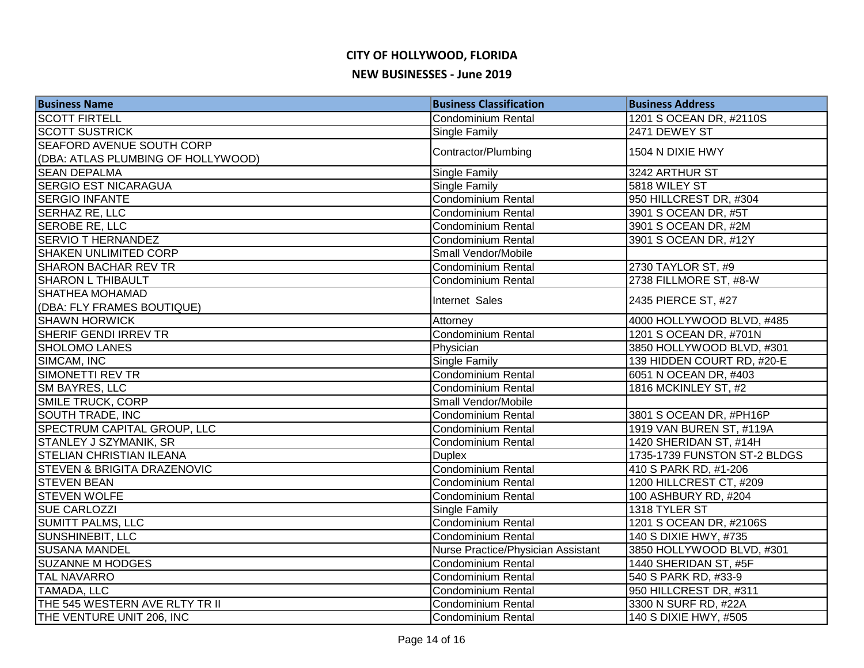| <b>Business Name</b>                   | <b>Business Classification</b>     | <b>Business Address</b>      |
|----------------------------------------|------------------------------------|------------------------------|
| <b>SCOTT FIRTELL</b>                   | Condominium Rental                 | 1201 S OCEAN DR, #2110S      |
| <b>SCOTT SUSTRICK</b>                  | Single Family                      | 2471 DEWEY ST                |
| SEAFORD AVENUE SOUTH CORP              | Contractor/Plumbing                | 1504 N DIXIE HWY             |
| (DBA: ATLAS PLUMBING OF HOLLYWOOD)     |                                    |                              |
| <b>SEAN DEPALMA</b>                    | Single Family                      | 3242 ARTHUR ST               |
| <b>SERGIO EST NICARAGUA</b>            | <b>Single Family</b>               | 5818 WILEY ST                |
| <b>SERGIO INFANTE</b>                  | Condominium Rental                 | 950 HILLCREST DR, #304       |
| <b>SERHAZ RE, LLC</b>                  | Condominium Rental                 | 3901 S OCEAN DR, #5T         |
| SEROBE RE, LLC                         | Condominium Rental                 | 3901 S OCEAN DR, #2M         |
| <b>SERVIO T HERNANDEZ</b>              | <b>Condominium Rental</b>          | 3901 S OCEAN DR, #12Y        |
| <b>SHAKEN UNLIMITED CORP</b>           | Small Vendor/Mobile                |                              |
| <b>SHARON BACHAR REV TR</b>            | <b>Condominium Rental</b>          | 2730 TAYLOR ST, #9           |
| <b>SHARON L THIBAULT</b>               | <b>Condominium Rental</b>          | 2738 FILLMORE ST, #8-W       |
| <b>SHATHEA MOHAMAD</b>                 | Internet Sales                     | 2435 PIERCE ST, #27          |
| (DBA: FLY FRAMES BOUTIQUE)             |                                    |                              |
| <b>SHAWN HORWICK</b>                   | Attorney                           | 4000 HOLLYWOOD BLVD, #485    |
| SHERIF GENDI IRREV TR                  | Condominium Rental                 | 1201 S OCEAN DR, #701N       |
| <b>SHOLOMO LANES</b>                   | Physician                          | 3850 HOLLYWOOD BLVD, #301    |
| SIMCAM, INC                            | <b>Single Family</b>               | 139 HIDDEN COURT RD, #20-E   |
| SIMONETTI REV TR                       | Condominium Rental                 | 6051 N OCEAN DR, #403        |
| SM BAYRES, LLC                         | Condominium Rental                 | 1816 MCKINLEY ST, #2         |
| <b>SMILE TRUCK, CORP</b>               | Small Vendor/Mobile                |                              |
| SOUTH TRADE, INC                       | Condominium Rental                 | 3801 S OCEAN DR, #PH16P      |
| SPECTRUM CAPITAL GROUP, LLC            | <b>Condominium Rental</b>          | 1919 VAN BUREN ST, #119A     |
| STANLEY J SZYMANIK, SR                 | <b>Condominium Rental</b>          | 1420 SHERIDAN ST, #14H       |
| <b>STELIAN CHRISTIAN ILEANA</b>        | <b>Duplex</b>                      | 1735-1739 FUNSTON ST-2 BLDGS |
| <b>STEVEN &amp; BRIGITA DRAZENOVIC</b> | Condominium Rental                 | 410 S PARK RD, #1-206        |
| <b>STEVEN BEAN</b>                     | <b>Condominium Rental</b>          | 1200 HILLCREST CT, #209      |
| <b>STEVEN WOLFE</b>                    | Condominium Rental                 | 100 ASHBURY RD, #204         |
| <b>SUE CARLOZZI</b>                    | <b>Single Family</b>               | 1318 TYLER ST                |
| <b>SUMITT PALMS, LLC</b>               | Condominium Rental                 | 1201 S OCEAN DR, #2106S      |
| SUNSHINEBIT, LLC                       | Condominium Rental                 | 140 S DIXIE HWY, #735        |
| <b>SUSANA MANDEL</b>                   | Nurse Practice/Physician Assistant | 3850 HOLLYWOOD BLVD, #301    |
| <b>SUZANNE M HODGES</b>                | Condominium Rental                 | 1440 SHERIDAN ST, #5F        |
| <b>TAL NAVARRO</b>                     | <b>Condominium Rental</b>          | 540 S PARK RD, #33-9         |
| <b>TAMADA, LLC</b>                     | <b>Condominium Rental</b>          | 950 HILLCREST DR, #311       |
| THE 545 WESTERN AVE RLTY TR II         | <b>Condominium Rental</b>          | 3300 N SURF RD, #22A         |
| THE VENTURE UNIT 206, INC              | Condominium Rental                 | 140 S DIXIE HWY, #505        |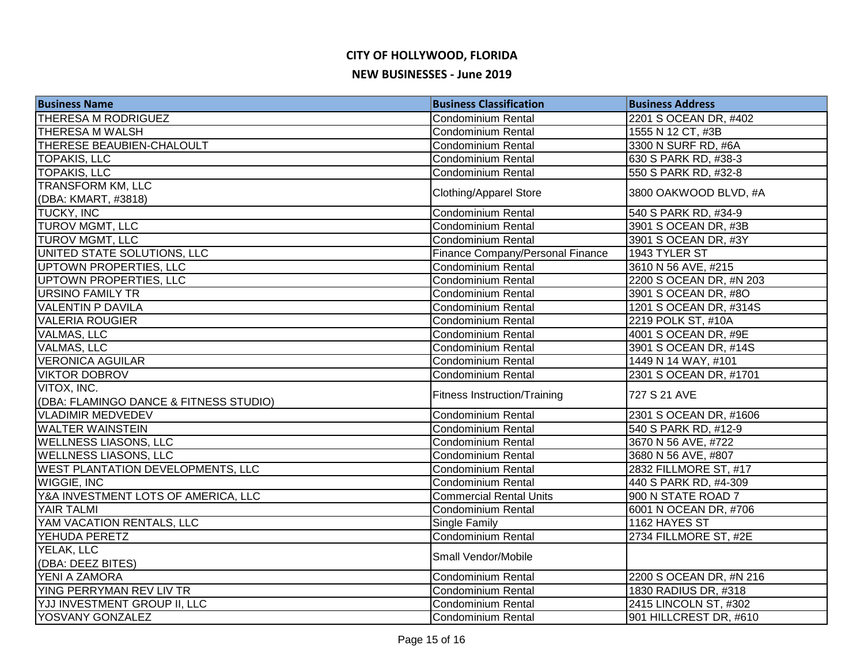| <b>Business Name</b>                                  | <b>Business Classification</b>      | <b>Business Address</b> |
|-------------------------------------------------------|-------------------------------------|-------------------------|
| <b>THERESA M RODRIGUEZ</b>                            | Condominium Rental                  | 2201 S OCEAN DR, #402   |
| <b>THERESA M WALSH</b>                                | <b>Condominium Rental</b>           | 1555 N 12 CT, #3B       |
| <b>THERESE BEAUBIEN-CHALOULT</b>                      | <b>Condominium Rental</b>           | 3300 N SURF RD, #6A     |
| <b>TOPAKIS, LLC</b>                                   | Condominium Rental                  | 630 S PARK RD, #38-3    |
| <b>TOPAKIS, LLC</b>                                   | <b>Condominium Rental</b>           | 550 S PARK RD, #32-8    |
| <b>TRANSFORM KM, LLC</b><br>(DBA: KMART, #3818)       | <b>Clothing/Apparel Store</b>       | 3800 OAKWOOD BLVD, #A   |
| <b>TUCKY, INC</b>                                     | Condominium Rental                  | 540 S PARK RD, #34-9    |
| <b>TUROV MGMT, LLC</b>                                | Condominium Rental                  | 3901 S OCEAN DR, #3B    |
| <b>TUROV MGMT, LLC</b>                                | Condominium Rental                  | 3901 S OCEAN DR, #3Y    |
| UNITED STATE SOLUTIONS, LLC                           | Finance Company/Personal Finance    | 1943 TYLER ST           |
| UPTOWN PROPERTIES, LLC                                | Condominium Rental                  | 3610 N 56 AVE, #215     |
| UPTOWN PROPERTIES, LLC                                | <b>Condominium Rental</b>           | 2200 S OCEAN DR, #N 203 |
| <b>URSINO FAMILY TR</b>                               | <b>Condominium Rental</b>           | 3901 S OCEAN DR, #8O    |
| <b>VALENTIN P DAVILA</b>                              | <b>Condominium Rental</b>           | 1201 S OCEAN DR, #314S  |
| <b>VALERIA ROUGIER</b>                                | <b>Condominium Rental</b>           | 2219 POLK ST, #10A      |
| <b>VALMAS, LLC</b>                                    | <b>Condominium Rental</b>           | 4001 S OCEAN DR, #9E    |
| <b>VALMAS, LLC</b>                                    | <b>Condominium Rental</b>           | 3901 S OCEAN DR, #14S   |
| <b>VERONICA AGUILAR</b>                               | <b>Condominium Rental</b>           | 1449 N 14 WAY, #101     |
| <b>VIKTOR DOBROV</b>                                  | Condominium Rental                  | 2301 S OCEAN DR, #1701  |
| VITOX, INC.<br>(DBA: FLAMINGO DANCE & FITNESS STUDIO) | <b>Fitness Instruction/Training</b> | 727 S 21 AVE            |
| <b>VLADIMIR MEDVEDEV</b>                              | Condominium Rental                  | 2301 S OCEAN DR, #1606  |
| <b>WALTER WAINSTEIN</b>                               | <b>Condominium Rental</b>           | 540 S PARK RD, #12-9    |
| <b>WELLNESS LIASONS, LLC</b>                          | <b>Condominium Rental</b>           | 3670 N 56 AVE, #722     |
| <b>WELLNESS LIASONS, LLC</b>                          | <b>Condominium Rental</b>           | 3680 N 56 AVE, #807     |
| <b>WEST PLANTATION DEVELOPMENTS, LLC</b>              | <b>Condominium Rental</b>           | 2832 FILLMORE ST, #17   |
| <b>WIGGIE, INC</b>                                    | <b>Condominium Rental</b>           | 440 S PARK RD, #4-309   |
| Y&A INVESTMENT LOTS OF AMERICA, LLC                   | <b>Commercial Rental Units</b>      | 900 N STATE ROAD 7      |
| <b>YAIR TALMI</b>                                     | Condominium Rental                  | 6001 N OCEAN DR, #706   |
| YAM VACATION RENTALS, LLC                             | <b>Single Family</b>                | 1162 HAYES ST           |
| <b>YEHUDA PERETZ</b>                                  | Condominium Rental                  | 2734 FILLMORE ST, #2E   |
| YELAK, LLC                                            | Small Vendor/Mobile                 |                         |
| (DBA: DEEZ BITES)                                     |                                     |                         |
| <b>YENI A ZAMORA</b>                                  | Condominium Rental                  | 2200 S OCEAN DR, #N 216 |
| <b>YING PERRYMAN REV LIV TR</b>                       | <b>Condominium Rental</b>           | 1830 RADIUS DR, #318    |
| YJJ INVESTMENT GROUP II, LLC                          | <b>Condominium Rental</b>           | 2415 LINCOLN ST, #302   |
| YOSVANY GONZALEZ                                      | Condominium Rental                  | 901 HILLCREST DR, #610  |